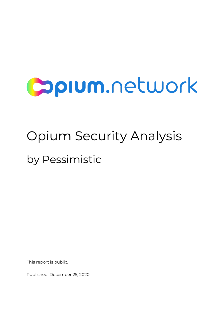# **Sprum.network**

## Opium Security Analysis by Pessimistic

This report is public.

Published: December 25, 2020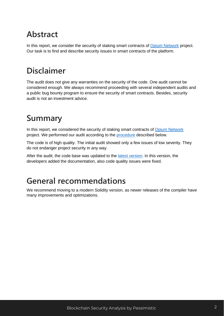## <span id="page-2-0"></span>**Abstract**

<span id="page-2-1"></span>In this report, we consider the security of staking smart contracts of [Opium Network](https://opium.network/) project. Our task is to find and describe security issues in smart contracts of the platform.

## **Disclaimer**

The audit does not give any warranties on the security of the code. One audit cannot be considered enough. We always recommend proceeding with several independent audits and a public bug bounty program to ensure the security of smart contracts. Besides, security audit is not an investment advice.

## <span id="page-2-2"></span>**Summary**

In this report, we considered the security of staking smart contracts of [Opium Network](https://opium.network/) project. We performed our audit according to the [procedure](#page-3-0) described below.

The code is of high quality. The initial audit showed only a few issues of low severity. They do not endanger project security in any way.

<span id="page-2-3"></span>After the audit, the code base was updated to the latest [version.](#page-4-2) In this version, the developers added the documentation, also code quality issues were fixed.

## **General recommendations**

We recommend moving to a modern Solidity version, as newer releases of the compiler have many improvements and optimizations.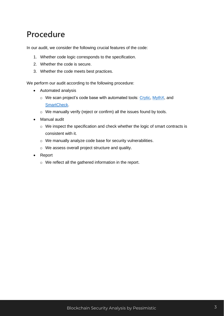## <span id="page-3-0"></span>**Procedure**

In our audit, we consider the following crucial features of the code:

- 1. Whether code logic corresponds to the specification.
- 2. Whether the code is secure.
- 3. Whether the code meets best practices.

We perform our audit according to the following procedure:

- Automated analysis
	- $\circ$  We scan project's code base with automated tools: [Crytic,](https://crytic.io/) [MythX,](https://mythx.io/) and [SmartCheck.](https://tool.smartdec.net/)
	- o We manually verify (reject or confirm) all the issues found by tools.
- Manual audit
	- o We inspect the specification and check whether the logic of smart contracts is consistent with it.
	- o We manually analyze code base for security vulnerabilities.
	- o We assess overall project structure and quality.
- Report
	- o We reflect all the gathered information in the report.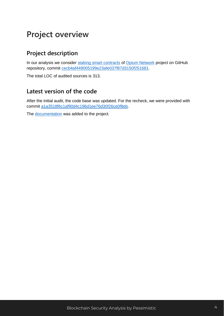## <span id="page-4-0"></span>**Project overview**

#### <span id="page-4-1"></span>**Project description**

In our analysis we consider [staking smart contracts](https://github.com/OpiumProtocol/opium-staking-contract/) of [Opium Network](https://opium.network/) project on GitHub repository, commit [cecb4af449005199e23afe037f87d3150f251681.](https://github.com/OpiumProtocol/opium-staking-contract/tree/cecb4af449005199e23afe037f87d3150f251681)

<span id="page-4-2"></span>The total LOC of audited sources is 313.

#### **Latest version of the code**

After the initial audit, the code base was updated. For the recheck, we were provided with commit [a1a3518f6c1af90d4c196d1ee76d30f26ce0f8eb.](https://github.com/OpiumProtocol/opium-staking-contract/tree/a1a3518f6c1af90d4c196d1ee76d30f26ce0f8eb)

The [documentation](https://github.com/Alirun/opium-staking-contract/tree/main/docs) was added to the project.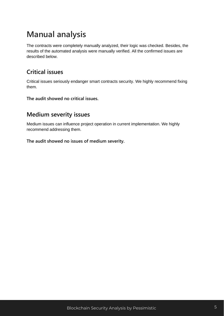## <span id="page-5-0"></span>**Manual analysis**

The contracts were completely manually analyzed, their logic was checked. Besides, the results of the automated analysis were manually verified. All the confirmed issues are described below.

#### <span id="page-5-1"></span>**Critical issues**

Critical issues seriously endanger smart contracts security. We highly recommend fixing them.

<span id="page-5-2"></span>**The audit showed no critical issues.**

#### **Medium severity issues**

Medium issues can influence project operation in current implementation. We highly recommend addressing them.

**The audit showed no issues of medium severity.**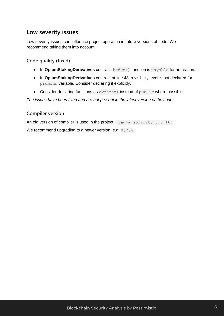#### <span id="page-6-0"></span>**Low severity issues**

Low severity issues can influence project operation in future versions of code. We recommend taking them into account.

#### <span id="page-6-1"></span>**Code quality (fixed)**

- In **OpiumStakingDerivatives** contract, hedge() function is payable for no reason.
- In **OpiumStakingDerivatives** contract at line 48, a visibility level is not declared for premium variable. Consider declaring it explicitly.
- Consider declaring functions as external instead of public where possible.

#### <span id="page-6-2"></span>*The issues have been fixed and are not present in the latest version of the code.*

#### **Compiler version**

An old version of compiler is used in the project: pragma solidity 0.5.16;

We recommend upgrading to a newer version, e.g. 0.7.4.